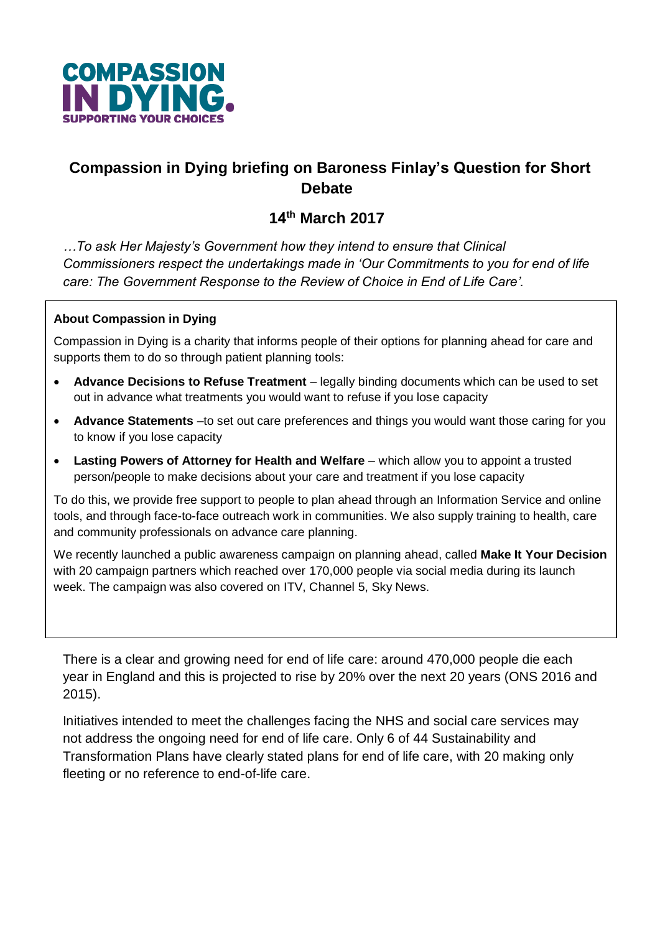

## **Compassion in Dying briefing on Baroness Finlay's Question for Short Debate**

# **14 <sup>t</sup><sup>h</sup> March 2017**

*…To ask Her Majesty's Government how they intend to ensure that Clinical Commissioners respect the undertakings made in 'Our Commitments to you for end of life care: The Government Response to the Review of Choice in End of Life Care'.*

#### **About Compassion in Dying**

Compassion in Dying is a charity that informs people of their options for planning ahead for care and supports them to do so through patient planning tools:

- **Advance Decisions to Refuse Treatment** legally binding documents which can be used to set out in advance what treatments you would want to refuse if you lose capacity
- **Advance Statements** –to set out care preferences and things you would want those caring for you to know if you lose capacity
- **Lasting Powers of Attorney for Health and Welfare** which allow you to appoint a trusted person/people to make decisions about your care and treatment if you lose capacity

To do this, we provide free support to people to plan ahead through an Information Service and online tools, and through face-to-face outreach work in communities. We also supply training to health, care and community professionals on advance care planning.

We recently launched a public awareness campaign on planning ahead, called **Make It Your Decision** with 20 campaign partners which reached over 170,000 people via social media during its launch week. The campaign was also covered on ITV, Channel 5, Sky News.

There is a clear and growing need for end of life care: around 470,000 people die each year in England and this is projected to rise by 20% over the next 20 years (ONS 2016 and 2015).

Initiatives intended to meet the challenges facing the NHS and social care services may not address the ongoing need for end of life care. Only 6 of 44 Sustainability and Transformation Plans have clearly stated plans for end of life care, with 20 making only fleeting or no reference to end-of-life care.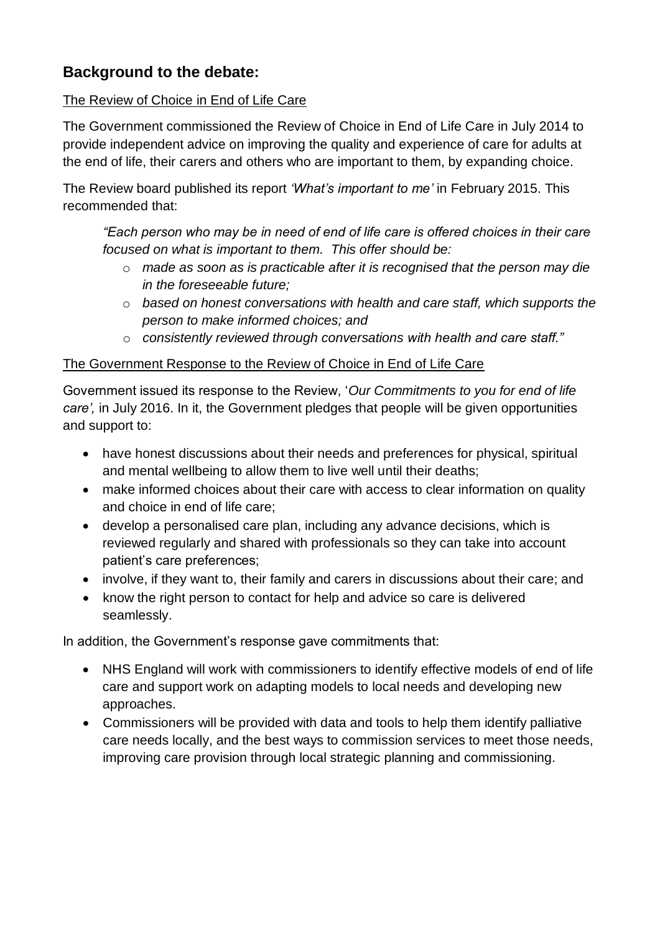## **Background to the debate:**

#### The Review of Choice in End of Life Care

The Government commissioned the Review of Choice in End of Life Care in July 2014 to provide independent advice on improving the quality and experience of care for adults at the end of life, their carers and others who are important to them, by expanding choice.

The Review board published its report *'What's important to me'* in February 2015. This recommended that:

*"Each person who may be in need of end of life care is offered choices in their care focused on what is important to them. This offer should be:*

- o *made as soon as is practicable after it is recognised that the person may die in the foreseeable future;*
- o *based on honest conversations with health and care staff, which supports the person to make informed choices; and*
- o *consistently reviewed through conversations with health and care staff."*

#### The Government Response to the Review of Choice in End of Life Care

Government issued its response to the Review, '*Our Commitments to you for end of life care',* in July 2016. In it, the Government pledges that people will be given opportunities and support to:

- have honest discussions about their needs and preferences for physical, spiritual and mental wellbeing to allow them to live well until their deaths;
- make informed choices about their care with access to clear information on quality and choice in end of life care;
- develop a personalised care plan, including any advance decisions, which is reviewed regularly and shared with professionals so they can take into account patient's care preferences;
- involve, if they want to, their family and carers in discussions about their care; and
- know the right person to contact for help and advice so care is delivered seamlessly.

In addition, the Government's response gave commitments that:

- NHS England will work with commissioners to identify effective models of end of life care and support work on adapting models to local needs and developing new approaches.
- Commissioners will be provided with data and tools to help them identify palliative care needs locally, and the best ways to commission services to meet those needs, improving care provision through local strategic planning and commissioning.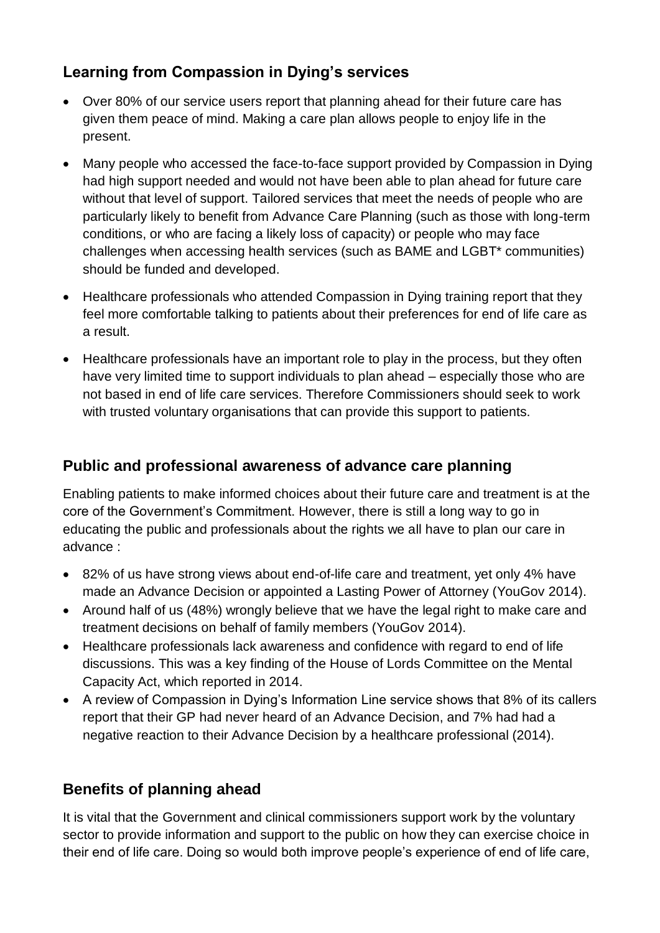## **Learning from Compassion in Dying's services**

- Over 80% of our service users report that planning ahead for their future care has given them peace of mind. Making a care plan allows people to enjoy life in the present.
- Many people who accessed the face-to-face support provided by Compassion in Dying had high support needed and would not have been able to plan ahead for future care without that level of support. Tailored services that meet the needs of people who are particularly likely to benefit from Advance Care Planning (such as those with long-term conditions, or who are facing a likely loss of capacity) or people who may face challenges when accessing health services (such as BAME and LGBT\* communities) should be funded and developed.
- Healthcare professionals who attended Compassion in Dying training report that they feel more comfortable talking to patients about their preferences for end of life care as a result.
- Healthcare professionals have an important role to play in the process, but they often have very limited time to support individuals to plan ahead – especially those who are not based in end of life care services. Therefore Commissioners should seek to work with trusted voluntary organisations that can provide this support to patients.

#### **Public and professional awareness of advance care planning**

Enabling patients to make informed choices about their future care and treatment is at the core of the Government's Commitment. However, there is still a long way to go in educating the public and professionals about the rights we all have to plan our care in advance :

- 82% of us have strong views about end-of-life care and treatment, yet only 4% have made an Advance Decision or appointed a Lasting Power of Attorney (YouGov 2014).
- Around half of us (48%) wrongly believe that we have the legal right to make care and treatment decisions on behalf of family members (YouGov 2014).
- Healthcare professionals lack awareness and confidence with regard to end of life discussions. This was a key finding of the House of Lords Committee on the Mental Capacity Act, which reported in 2014.
- A review of Compassion in Dying's Information Line service shows that 8% of its callers report that their GP had never heard of an Advance Decision, and 7% had had a negative reaction to their Advance Decision by a healthcare professional (2014).

# **Benefits of planning ahead**

It is vital that the Government and clinical commissioners support work by the voluntary sector to provide information and support to the public on how they can exercise choice in their end of life care. Doing so would both improve people's experience of end of life care,